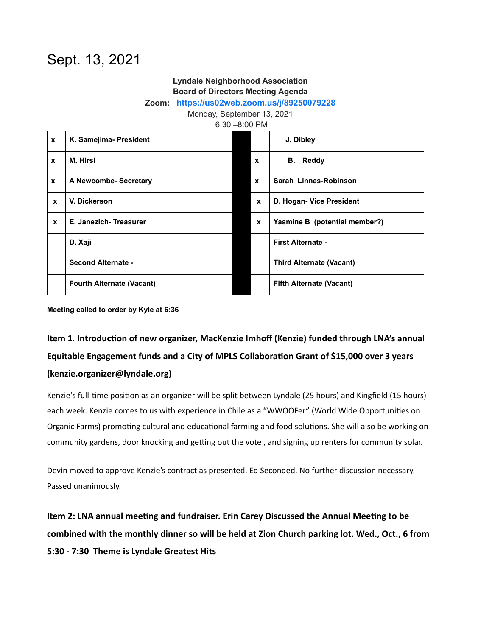## Sept. 13, 2021

## **Lyndale Neighborhood Association Board of Directors Meeting Agenda**

**Zoom: <https://us02web.zoom.us/j/89250079228>**

Monday, September 13, 2021

6:30 –8:00 PM

| $\mathbf{x}$ | K. Samejima- President           |                           | J. Dibley                       |
|--------------|----------------------------------|---------------------------|---------------------------------|
| $\mathbf{x}$ | M. Hirsi                         | $\boldsymbol{\mathsf{x}}$ | <b>Reddy</b><br>В.              |
| $\mathbf{x}$ | A Newcombe- Secretary            | $\mathbf{x}$              | Sarah Linnes-Robinson           |
| $\mathbf{x}$ | V. Dickerson                     | $\mathbf{x}$              | D. Hogan- Vice President        |
| $\mathbf{x}$ | E. Janezich-Treasurer            | $\mathbf{x}$              | Yasmine B (potential member?)   |
|              | D. Xaji                          |                           | <b>First Alternate -</b>        |
|              | <b>Second Alternate -</b>        |                           | <b>Third Alternate (Vacant)</b> |
|              | <b>Fourth Alternate (Vacant)</b> |                           | <b>Fifth Alternate (Vacant)</b> |

**Meeting called to order by Kyle at 6:36**

## Item 1. Introduction of new organizer, MacKenzie Imhoff (Kenzie) funded through LNA's annual Equitable Engagement funds and a City of MPLS Collaboration Grant of \$15,000 over 3 years **(kenzie.organizer@lyndale.org)**

Kenzie's full-time position as an organizer will be split between Lyndale (25 hours) and Kingfield (15 hours) each week. Kenzie comes to us with experience in Chile as a "WWOOFer" (World Wide Opportunities on Organic Farms) promoting cultural and educational farming and food solutions. She will also be working on community gardens, door knocking and getting out the vote, and signing up renters for community solar.

Devin moved to approve Kenzie's contract as presented. Ed Seconded. No further discussion necessary. Passed unanimously.

Item 2: LNA annual meeting and fundraiser. Erin Carey Discussed the Annual Meeting to be **combined with the monthly dinner so will be held at Zion Church parking lot. Wed., Oct., 6 from 5:30 - 7:30 Theme is Lyndale Greatest Hits**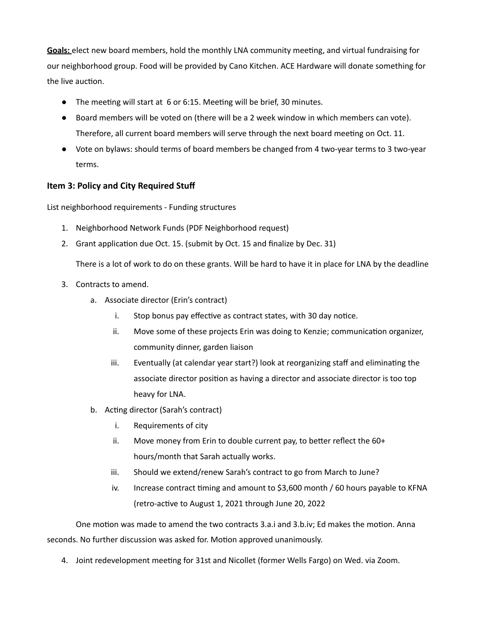Goals: elect new board members, hold the monthly LNA community meeting, and virtual fundraising for our neighborhood group. Food will be provided by Cano Kitchen. ACE Hardware will donate something for the live auction.

- The meeting will start at 6 or 6:15. Meeting will be brief, 30 minutes.
- Board members will be voted on (there will be a 2 week window in which members can vote). Therefore, all current board members will serve through the next board meeting on Oct. 11.
- Vote on bylaws: should terms of board members be changed from 4 two-year terms to 3 two-year terms.

## **Item 3: Policy and City Required Stuff**

List neighborhood requirements - Funding structures

- 1. Neighborhood Network Funds (PDF Neighborhood request)
- 2. Grant application due Oct. 15. (submit by Oct. 15 and finalize by Dec. 31)

There is a lot of work to do on these grants. Will be hard to have it in place for LNA by the deadline

- 3. Contracts to amend.
	- a. Associate director (Erin's contract)
		- i. Stop bonus pay effective as contract states, with 30 day notice.
		- ii. Move some of these projects Erin was doing to Kenzie; communication organizer, community dinner, garden liaison
		- iii. Eventually (at calendar year start?) look at reorganizing staff and eliminating the associate director position as having a director and associate director is too top heavy for LNA.
	- b. Acting director (Sarah's contract)
		- i. Requirements of city
		- ii. Move money from Erin to double current pay, to better reflect the  $60+$ hours/month that Sarah actually works.
		- iii. Should we extend/renew Sarah's contract to go from March to June?
		- iv. Increase contract timing and amount to  $$3,600$  month  $/$  60 hours payable to KFNA (retro-active to August 1, 2021 through June 20, 2022

One motion was made to amend the two contracts 3.a.i and 3.b.iv; Ed makes the motion. Anna seconds. No further discussion was asked for. Motion approved unanimously.

4. Joint redevelopment meeting for 31st and Nicollet (former Wells Fargo) on Wed. via Zoom.